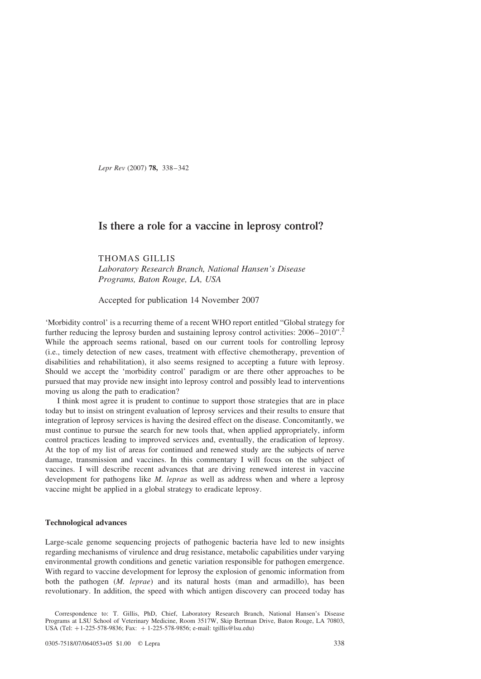Lepr Rev (2007) 78, 338–342

# Is there a role for a vaccine in leprosy control?

THOMAS GILLIS Laboratory Research Branch, National Hansen's Disease Programs, Baton Rouge, LA, USA

Accepted for publication 14 November 2007

'Morbidity control' is a recurring theme of a recent WHO report entitled "Global strategy for further reducing the leprosy burden and sustaining leprosy control activities:  $2006-2010"$  $2006-2010"$ . While the approach seems rational, based on our current tools for controlling leprosy (i.e., timely detection of new cases, treatment with effective chemotherapy, prevention of disabilities and rehabilitation), it also seems resigned to accepting a future with leprosy. Should we accept the 'morbidity control' paradigm or are there other approaches to be pursued that may provide new insight into leprosy control and possibly lead to interventions moving us along the path to eradication?

I think most agree it is prudent to continue to support those strategies that are in place today but to insist on stringent evaluation of leprosy services and their results to ensure that integration of leprosy services is having the desired effect on the disease. Concomitantly, we must continue to pursue the search for new tools that, when applied appropriately, inform control practices leading to improved services and, eventually, the eradication of leprosy. At the top of my list of areas for continued and renewed study are the subjects of nerve damage, transmission and vaccines. In this commentary I will focus on the subject of vaccines. I will describe recent advances that are driving renewed interest in vaccine development for pathogens like M. leprae as well as address when and where a leprosy vaccine might be applied in a global strategy to eradicate leprosy.

# Technological advances

Large-scale genome sequencing projects of pathogenic bacteria have led to new insights regarding mechanisms of virulence and drug resistance, metabolic capabilities under varying environmental growth conditions and genetic variation responsible for pathogen emergence. With regard to vaccine development for leprosy the explosion of genomic information from both the pathogen (M. leprae) and its natural hosts (man and armadillo), has been revolutionary. In addition, the speed with which antigen discovery can proceed today has

Correspondence to: T. Gillis, PhD, Chief, Laboratory Research Branch, National Hansen's Disease Programs at LSU School of Veterinary Medicine, Room 3517W, Skip Bertman Drive, Baton Rouge, LA 70803, USA (Tel: +1-225-578-9836; Fax: +1-225-578-9856; e-mail: tgillis@lsu.edu)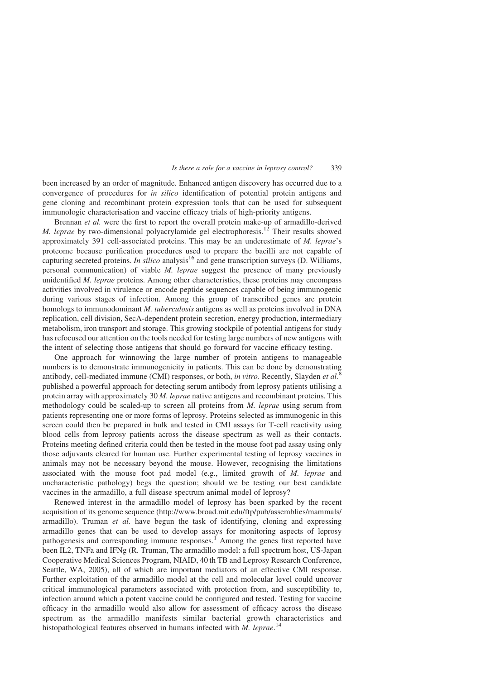#### Is there a role for a vaccine in leprosy control? 339

been increased by an order of magnitude. Enhanced antigen discovery has occurred due to a convergence of procedures for in silico identification of potential protein antigens and gene cloning and recombinant protein expression tools that can be used for subsequent immunologic characterisation and vaccine efficacy trials of high-priority antigens.

Brennan *et al.* were the first to report the overall protein make-up of armadillo-derived M. leprae by two-dimensional polyacrylamide gel electrophoresis.<sup>[12](#page-4-0)</sup> Their results showed approximately 391 cell-associated proteins. This may be an underestimate of  $M$ . *leprae's* proteome because purification procedures used to prepare the bacilli are not capable of capturing secreted proteins. In silico analysis<sup>[16](#page-4-0)</sup> and gene transcription surveys (D. Williams, personal communication) of viable M. leprae suggest the presence of many previously unidentified *M. leprae* proteins. Among other characteristics, these proteins may encompass activities involved in virulence or encode peptide sequences capable of being immunogenic during various stages of infection. Among this group of transcribed genes are protein homologs to immunodominant M. tuberculosis antigens as well as proteins involved in DNA replication, cell division, SecA-dependent protein secretion, energy production, intermediary metabolism, iron transport and storage. This growing stockpile of potential antigens for study has refocused our attention on the tools needed for testing large numbers of new antigens with the intent of selecting those antigens that should go forward for vaccine efficacy testing.

One approach for winnowing the large number of protein antigens to manageable numbers is to demonstrate immunogenicity in patients. This can be done by demonstrating antibody, cell-mediated immune (CMI) responses, or both, in vitro. Recently, Slayden et al. $^8$  $^8$ published a powerful approach for detecting serum antibody from leprosy patients utilising a protein array with approximately 30 M. leprae native antigens and recombinant proteins. This methodology could be scaled-up to screen all proteins from M. leprae using serum from patients representing one or more forms of leprosy. Proteins selected as immunogenic in this screen could then be prepared in bulk and tested in CMI assays for T-cell reactivity using blood cells from leprosy patients across the disease spectrum as well as their contacts. Proteins meeting defined criteria could then be tested in the mouse foot pad assay using only those adjuvants cleared for human use. Further experimental testing of leprosy vaccines in animals may not be necessary beyond the mouse. However, recognising the limitations associated with the mouse foot pad model (e.g., limited growth of M. leprae and uncharacteristic pathology) begs the question; should we be testing our best candidate vaccines in the armadillo, a full disease spectrum animal model of leprosy?

Renewed interest in the armadillo model of leprosy has been sparked by the recent acquisition of its genome sequence ([http://www.broad.mit.edu/ftp/pub/assemblies/mammals/](http://www.broad.mit.edu/ftp/pub/assemblies/mammals/armadillo) [armadillo\)](http://www.broad.mit.edu/ftp/pub/assemblies/mammals/armadillo). Truman et al. have begun the task of identifying, cloning and expressing armadillo genes that can be used to develop assays for monitoring aspects of leprosy pathogenesis and corresponding immune responses.[1](#page-4-0) Among the genes first reported have been IL2, TNFa and IFNg (R. Truman, The armadillo model: a full spectrum host, US-Japan Cooperative Medical Sciences Program, NIAID, 40 th TB and Leprosy Research Conference, Seattle, WA, 2005), all of which are important mediators of an effective CMI response. Further exploitation of the armadillo model at the cell and molecular level could uncover critical immunological parameters associated with protection from, and susceptibility to, infection around which a potent vaccine could be configured and tested. Testing for vaccine efficacy in the armadillo would also allow for assessment of efficacy across the disease spectrum as the armadillo manifests similar bacterial growth characteristics and histopathological features observed in humans infected with  $M$ . leprae.<sup>[14](#page-4-0)</sup>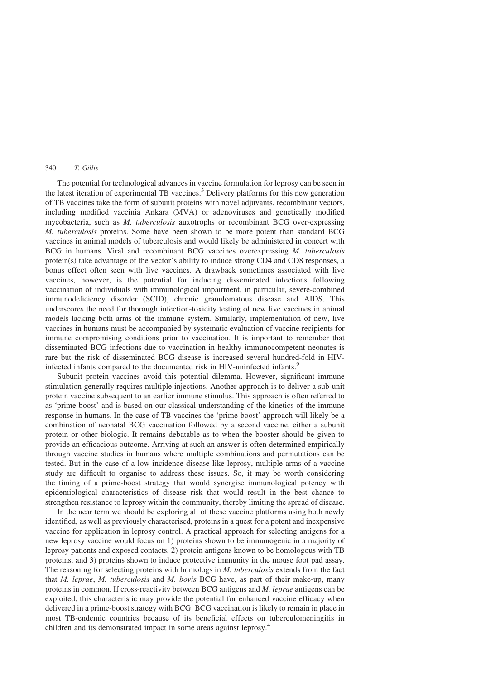### 340 T. Gillis

The potential for technological advances in vaccine formulation for leprosy can be seen in the latest iteration of experimental TB vaccines.[3](#page-4-0) Delivery platforms for this new generation of TB vaccines take the form of subunit proteins with novel adjuvants, recombinant vectors, including modified vaccinia Ankara (MVA) or adenoviruses and genetically modified mycobacteria, such as M. tuberculosis auxotrophs or recombinant BCG over-expressing M. tuberculosis proteins. Some have been shown to be more potent than standard BCG vaccines in animal models of tuberculosis and would likely be administered in concert with BCG in humans. Viral and recombinant BCG vaccines overexpressing M. tuberculosis protein(s) take advantage of the vector's ability to induce strong CD4 and CD8 responses, a bonus effect often seen with live vaccines. A drawback sometimes associated with live vaccines, however, is the potential for inducing disseminated infections following vaccination of individuals with immunological impairment, in particular, severe-combined immunodeficiency disorder (SCID), chronic granulomatous disease and AIDS. This underscores the need for thorough infection-toxicity testing of new live vaccines in animal models lacking both arms of the immune system. Similarly, implementation of new, live vaccines in humans must be accompanied by systematic evaluation of vaccine recipients for immune compromising conditions prior to vaccination. It is important to remember that disseminated BCG infections due to vaccination in healthy immunocompetent neonates is rare but the risk of disseminated BCG disease is increased several hundred-fold in HIVinfected infants compared to the documented risk in HIV-uninfected infants.<sup>5</sup>

Subunit protein vaccines avoid this potential dilemma. However, significant immune stimulation generally requires multiple injections. Another approach is to deliver a sub-unit protein vaccine subsequent to an earlier immune stimulus. This approach is often referred to as 'prime-boost' and is based on our classical understanding of the kinetics of the immune response in humans. In the case of TB vaccines the 'prime-boost' approach will likely be a combination of neonatal BCG vaccination followed by a second vaccine, either a subunit protein or other biologic. It remains debatable as to when the booster should be given to provide an efficacious outcome. Arriving at such an answer is often determined empirically through vaccine studies in humans where multiple combinations and permutations can be tested. But in the case of a low incidence disease like leprosy, multiple arms of a vaccine study are difficult to organise to address these issues. So, it may be worth considering the timing of a prime-boost strategy that would synergise immunological potency with epidemiological characteristics of disease risk that would result in the best chance to strengthen resistance to leprosy within the community, thereby limiting the spread of disease.

In the near term we should be exploring all of these vaccine platforms using both newly identified, as well as previously characterised, proteins in a quest for a potent and inexpensive vaccine for application in leprosy control. A practical approach for selecting antigens for a new leprosy vaccine would focus on 1) proteins shown to be immunogenic in a majority of leprosy patients and exposed contacts, 2) protein antigens known to be homologous with TB proteins, and 3) proteins shown to induce protective immunity in the mouse foot pad assay. The reasoning for selecting proteins with homologs in M. tuberculosis extends from the fact that M. leprae, M. tuberculosis and M. bovis BCG have, as part of their make-up, many proteins in common. If cross-reactivity between BCG antigens and M. leprae antigens can be exploited, this characteristic may provide the potential for enhanced vaccine efficacy when delivered in a prime-boost strategy with BCG. BCG vaccination is likely to remain in place in most TB-endemic countries because of its beneficial effects on tuberculomeningitis in children and its demonstrated impact in some areas against leprosy.<sup>[4](#page-4-0)</sup>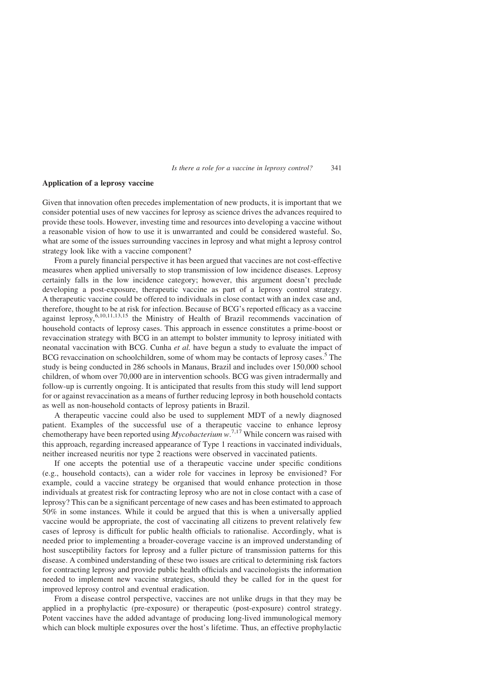### Is there a role for a vaccine in leprosy control? 341

# Application of a leprosy vaccine

Given that innovation often precedes implementation of new products, it is important that we consider potential uses of new vaccines for leprosy as science drives the advances required to provide these tools. However, investing time and resources into developing a vaccine without a reasonable vision of how to use it is unwarranted and could be considered wasteful. So, what are some of the issues surrounding vaccines in leprosy and what might a leprosy control strategy look like with a vaccine component?

From a purely financial perspective it has been argued that vaccines are not cost-effective measures when applied universally to stop transmission of low incidence diseases. Leprosy certainly falls in the low incidence category; however, this argument doesn't preclude developing a post-exposure, therapeutic vaccine as part of a leprosy control strategy. A therapeutic vaccine could be offered to individuals in close contact with an index case and, therefore, thought to be at risk for infection. Because of BCG's reported efficacy as a vaccine against leprosy, $6,10,11,13,15$  the Ministry of Health of Brazil recommends vaccination of household contacts of leprosy cases. This approach in essence constitutes a prime-boost or revaccination strategy with BCG in an attempt to bolster immunity to leprosy initiated with neonatal vaccination with BCG. Cunha et al. have begun a study to evaluate the impact of BCG revaccination on schoolchildren, some of whom may be contacts of leprosy cases.<sup>5</sup> The study is being conducted in 286 schools in Manaus, Brazil and includes over 150,000 school children, of whom over 70,000 are in intervention schools. BCG was given intradermally and follow-up is currently ongoing. It is anticipated that results from this study will lend support for or against revaccination as a means of further reducing leprosy in both household contacts as well as non-household contacts of leprosy patients in Brazil.

A therapeutic vaccine could also be used to supplement MDT of a newly diagnosed patient. Examples of the successful use of a therapeutic vaccine to enhance leprosy chemotherapy have been reported using  $Mycobacterium w.<sup>7,17</sup>$  $Mycobacterium w.<sup>7,17</sup>$  $Mycobacterium w.<sup>7,17</sup>$  While concern was raised with this approach, regarding increased appearance of Type 1 reactions in vaccinated individuals, neither increased neuritis nor type 2 reactions were observed in vaccinated patients.

If one accepts the potential use of a therapeutic vaccine under specific conditions (e.g., household contacts), can a wider role for vaccines in leprosy be envisioned? For example, could a vaccine strategy be organised that would enhance protection in those individuals at greatest risk for contracting leprosy who are not in close contact with a case of leprosy? This can be a significant percentage of new cases and has been estimated to approach 50% in some instances. While it could be argued that this is when a universally applied vaccine would be appropriate, the cost of vaccinating all citizens to prevent relatively few cases of leprosy is difficult for public health officials to rationalise. Accordingly, what is needed prior to implementing a broader-coverage vaccine is an improved understanding of host susceptibility factors for leprosy and a fuller picture of transmission patterns for this disease. A combined understanding of these two issues are critical to determining risk factors for contracting leprosy and provide public health officials and vaccinologists the information needed to implement new vaccine strategies, should they be called for in the quest for improved leprosy control and eventual eradication.

From a disease control perspective, vaccines are not unlike drugs in that they may be applied in a prophylactic (pre-exposure) or therapeutic (post-exposure) control strategy. Potent vaccines have the added advantage of producing long-lived immunological memory which can block multiple exposures over the host's lifetime. Thus, an effective prophylactic